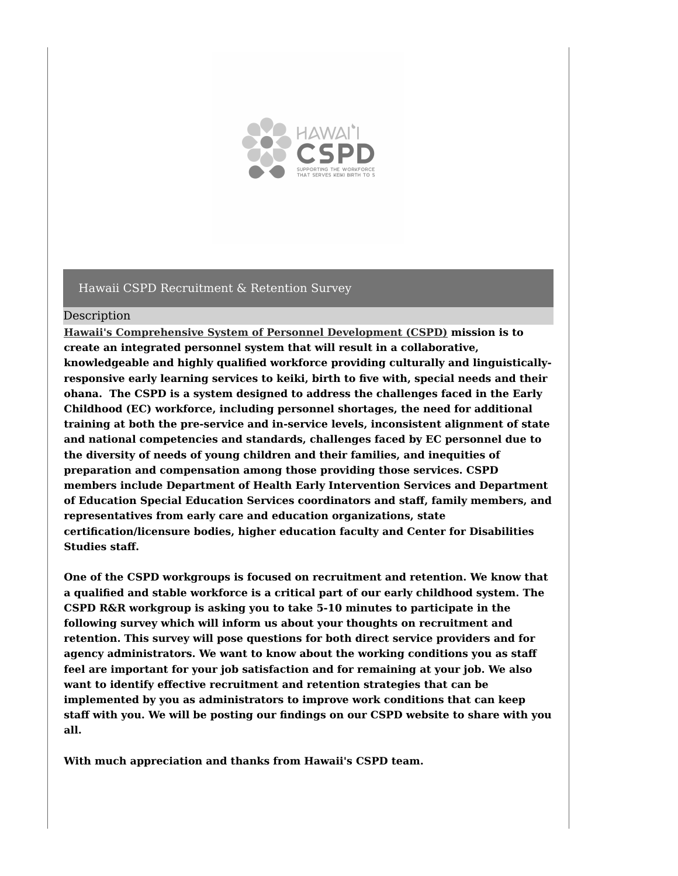

#### Description

**Hawaii's [Comprehensive](https://www.hawaiicspd.org/) System of Personnel Development (CSPD) mission is to create an integrated personnel system that will result in a collaborative, knowledgeable and highly qualified workforce providing culturally and linguisticallyresponsive early learning services to keiki, birth to five with, special needs and their ohana. The CSPD is a system designed to address the challenges faced in the Early Childhood (EC) workforce, including personnel shortages, the need for additional training at both the pre-service and in-service levels, inconsistent alignment of state and national competencies and standards, challenges faced by EC personnel due to the diversity of needs of young children and their families, and inequities of preparation and compensation among those providing those services. CSPD members include Department of Health Early Intervention Services and Department of Education Special Education Services coordinators and staff, family members, and representatives from early care and education organizations, state certification/licensure bodies, higher education faculty and Center for Disabilities Studies staff.**

**One of the CSPD workgroups is focused on recruitment and retention. We know that a qualified and stable workforce is a critical part of our early childhood system. The CSPD R&R workgroup is asking you to take 5-10 minutes to participate in the following survey which will inform us about your thoughts on recruitment and retention. This survey will pose questions for both direct service providers and for agency administrators. We want to know about the working conditions you as staff feel are important for your job satisfaction and for remaining at your job. We also want to identify effective recruitment and retention strategies that can be implemented by you as administrators to improve work conditions that can keep staff with you. We will be posting our findings on our CSPD website to share with you all.**

**With much appreciation and thanks from Hawaii's CSPD team.**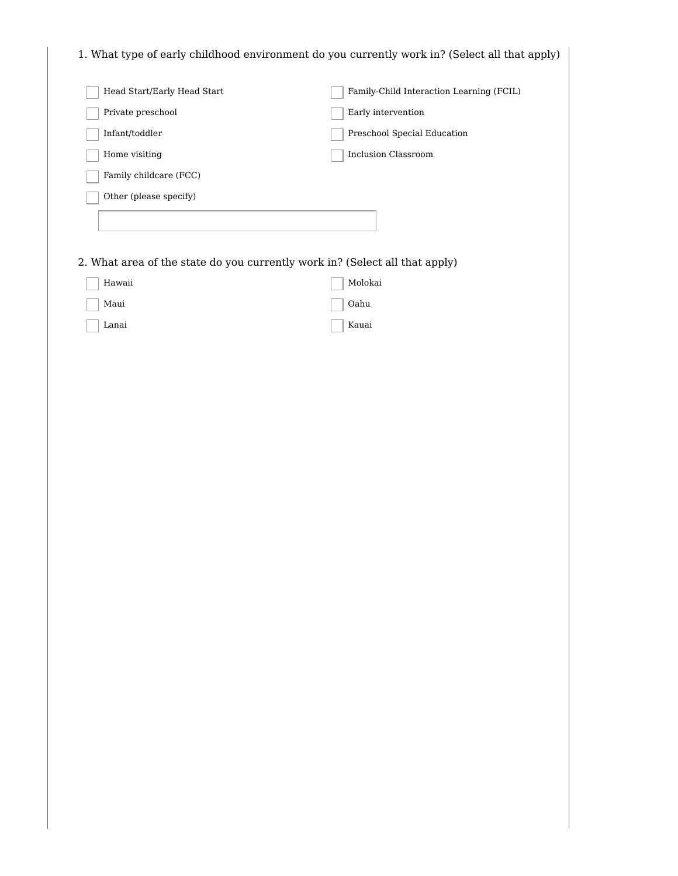1. What type of early childhood environment do you currently work in? (Select all that apply)

| Head Start/Early Head Start                                                 | Family-Child Interaction Learning (FCIL) |
|-----------------------------------------------------------------------------|------------------------------------------|
| Private preschool                                                           | Early intervention                       |
| Infant/toddler                                                              | Preschool Special Education              |
| Home visiting                                                               | <b>Inclusion Classroom</b>               |
| Family childcare (FCC)                                                      |                                          |
| Other (please specify)                                                      |                                          |
|                                                                             |                                          |
|                                                                             |                                          |
| 2. What area of the state do you currently work in? (Select all that apply) |                                          |
| Hawaii                                                                      | Molokai                                  |
| Maui                                                                        | Oahu                                     |
| Lanai                                                                       | Kauai                                    |
|                                                                             |                                          |
|                                                                             |                                          |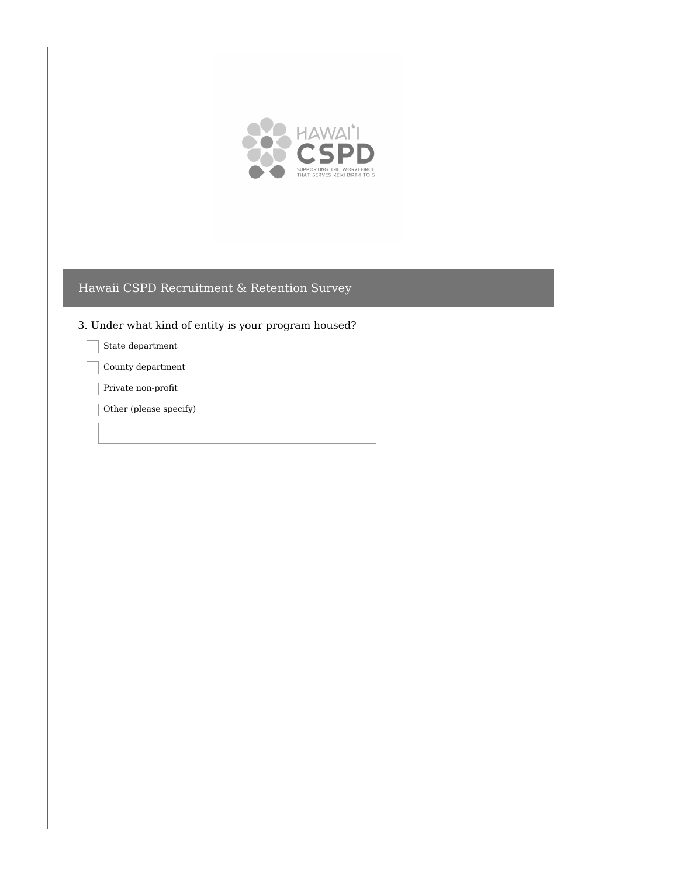

3. Under what kind of entity is your program housed?

State department

County department

Private non-profit

Other (please specify)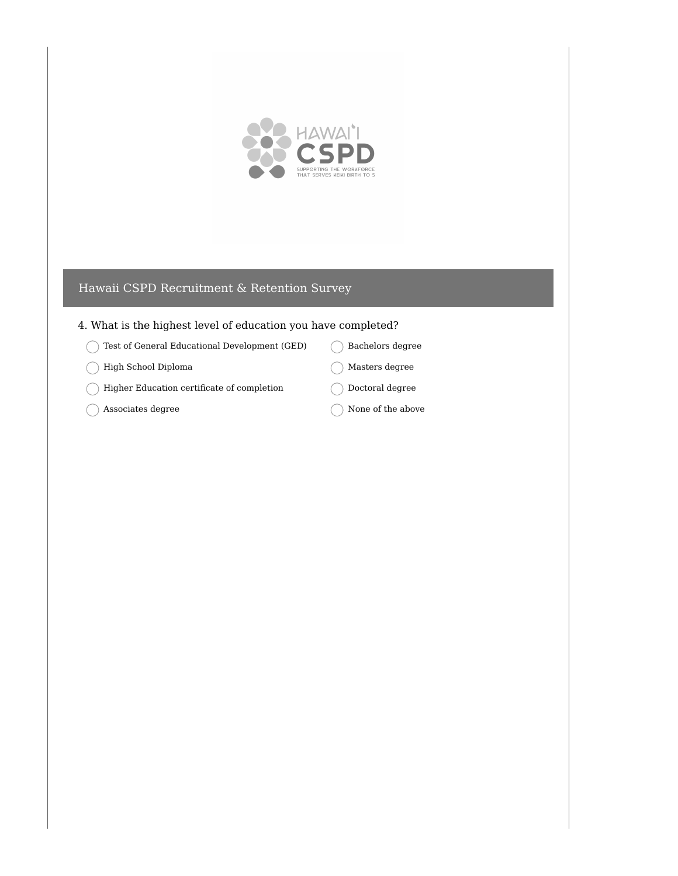

### 4. What is the highest level of education you have completed?

- Test of General Educational Development (GED)
- High School Diploma  $\left($
- Higher Education certificate of completion
- $\big)$  Associates degree C
- Bachelors degree
- Masters degree
- Doctoral degree
- None of the above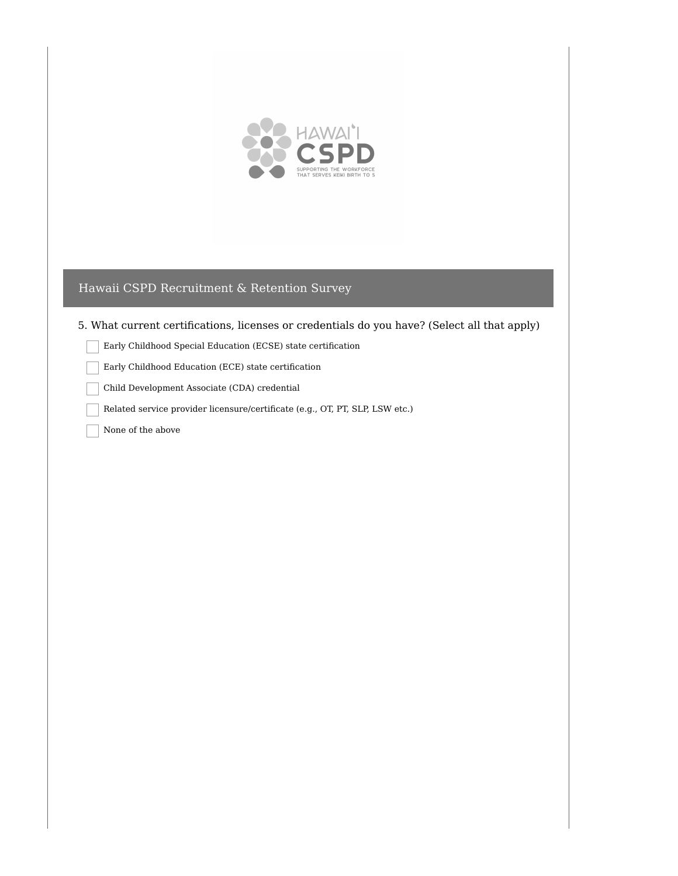

### 5. What current certifications, licenses or credentials do you have? (Select all that apply)

Early Childhood Special Education (ECSE) state certification

Early Childhood Education (ECE) state certification

Child Development Associate (CDA) credential

Related service provider licensure/certificate (e.g., OT, PT, SLP, LSW etc.)

None of the above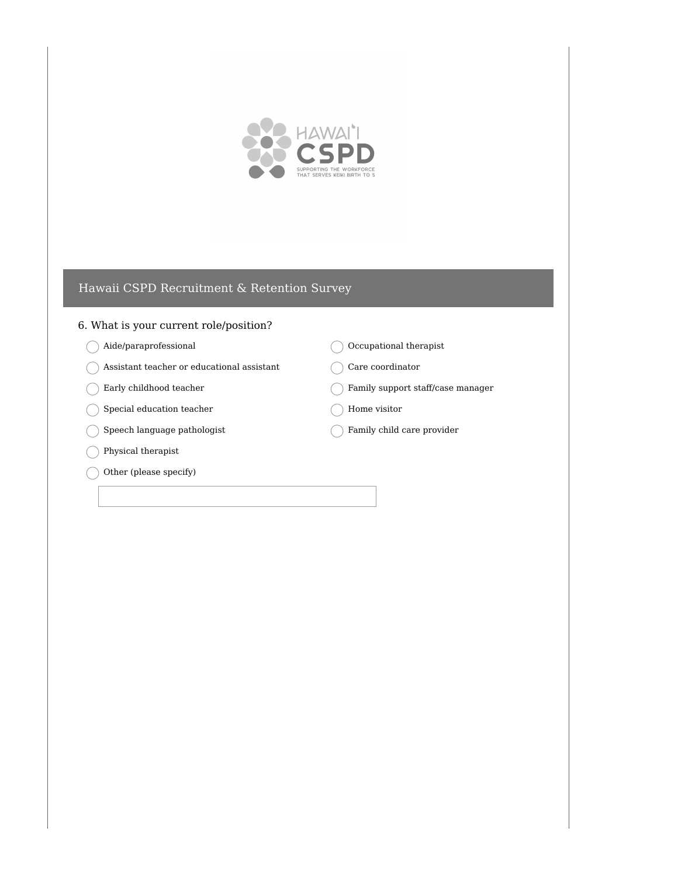

#### 6. What is your current role/position?

- Aide/paraprofessional
- $( )$  Assistant teacher or educational assistant
- Early childhood teacher
- Special education teacher  $\left($
- $\bigcirc$  Speech language pathologist
- $\bigcap$  Physical therapist
- Other (please specify)

 $\bigcirc$  Occupational therapist

Care coordinator

Family support staff/case manager

Home visitor

Family child care provider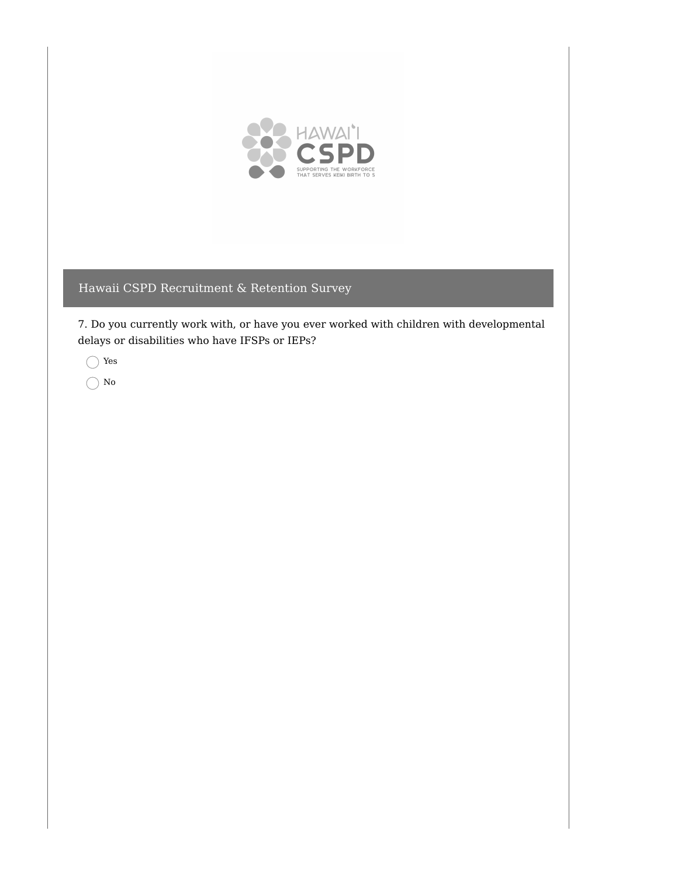

7. Do you currently work with, or have you ever worked with children with developmental delays or disabilities who have IFSPs or IEPs?

Yes

 $\bigcirc$  No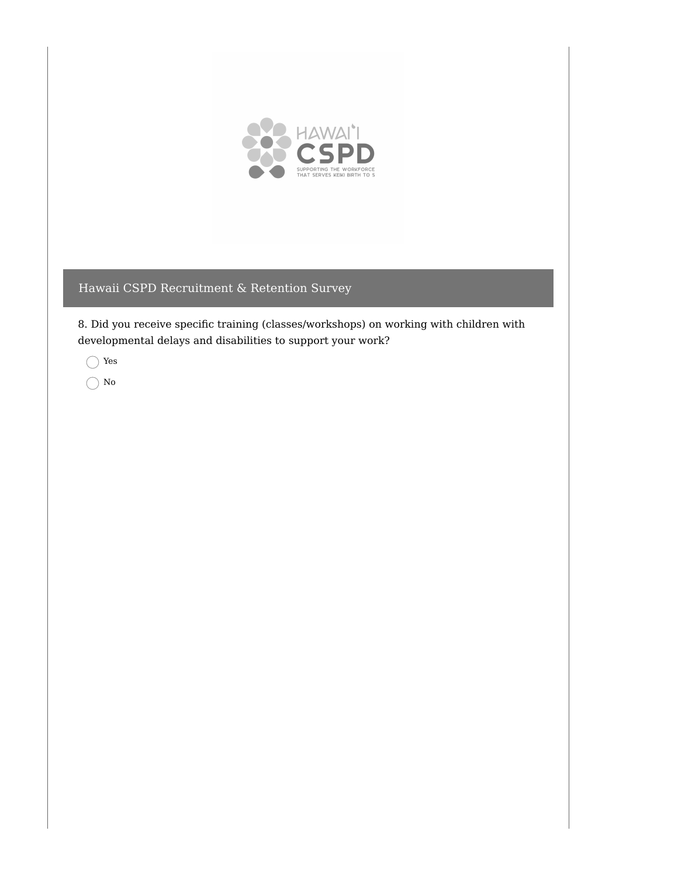

8. Did you receive specific training (classes/workshops) on working with children with developmental delays and disabilities to support your work?

Yes

 $\bigcirc$  No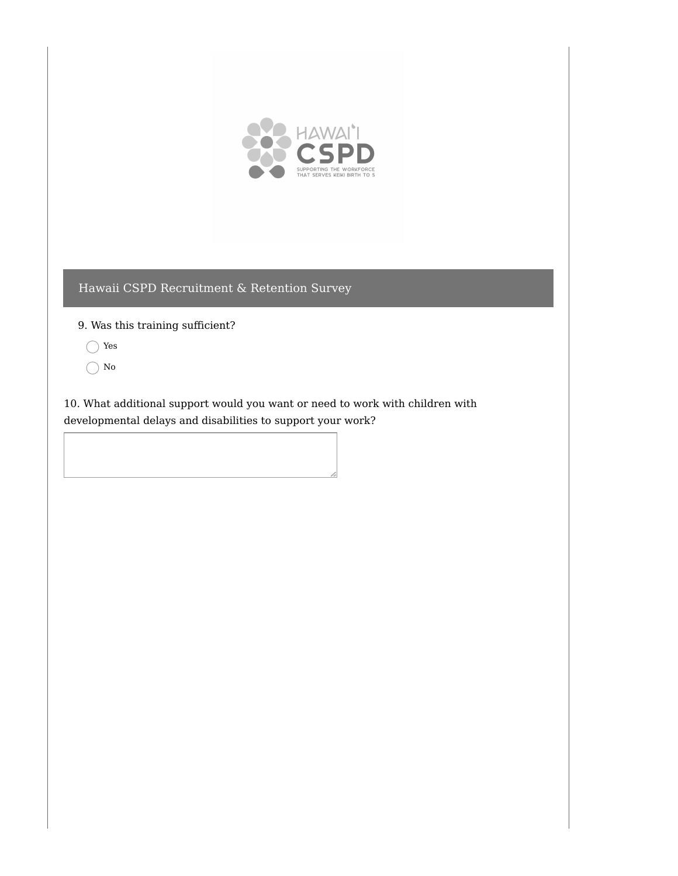

9. Was this training sufficient?

- Yes
- $\bigcap$  No

10. What additional support would you want or need to work with children with developmental delays and disabilities to support your work?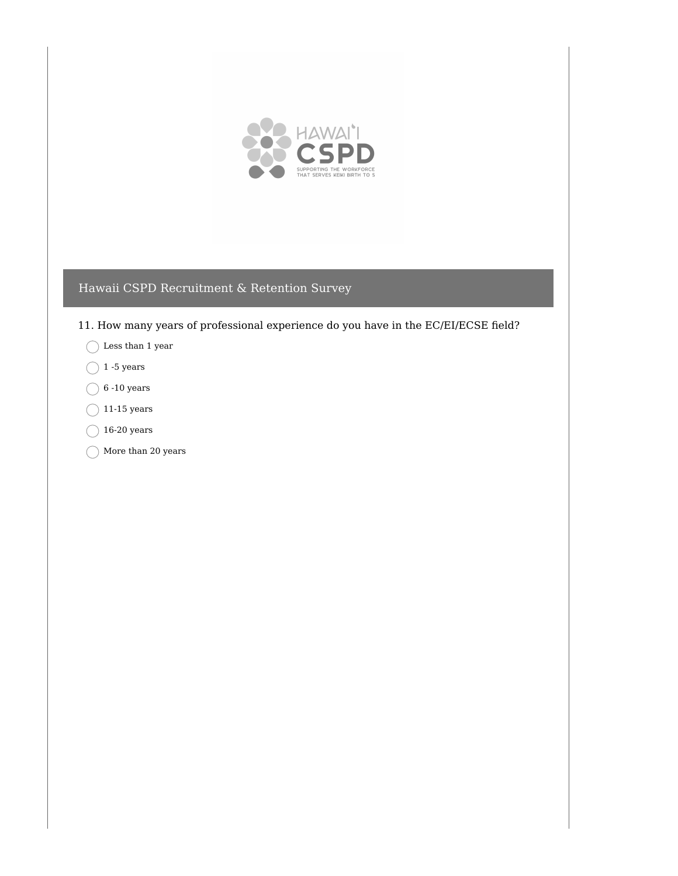

- 11. How many years of professional experience do you have in the EC/EI/ECSE field?
	- Less than 1 year
	- $\bigcap$  1 -5 years
	- $\bigcirc$  6 -10 years
	- $\bigcirc$  11-15 years
	- $\bigcirc$  16-20 years
	- $\bigcap$  More than 20 years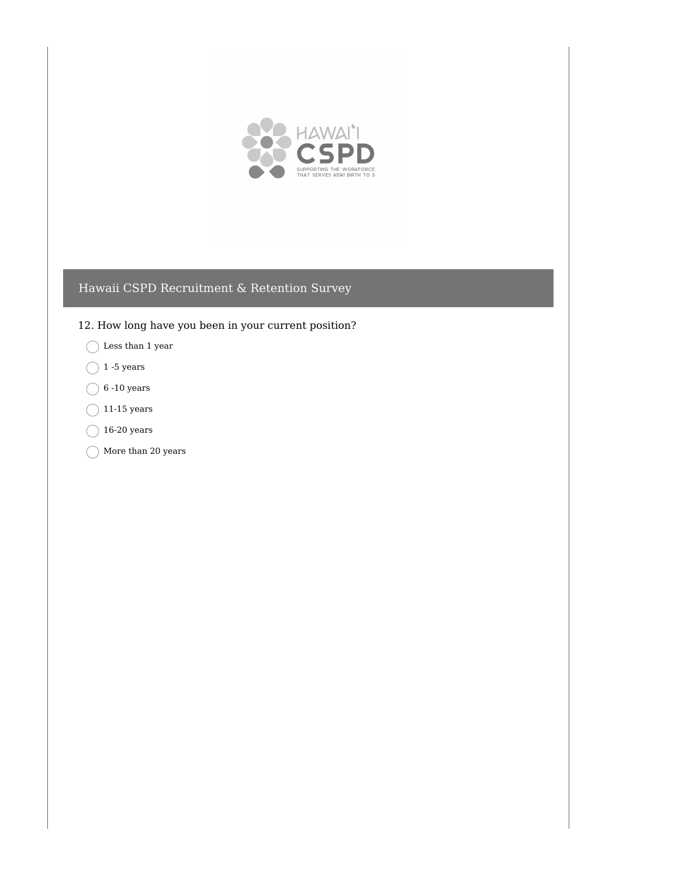

- 12. How long have you been in your current position?
	- $\bigcirc$  Less than 1 year
	- $\bigcap$  1 -5 years
	- $\bigcirc$  6 -10 years
	- $\bigcap$  11-15 years
	- $\bigcirc$  16-20 years
	- $\bigcap$  More than 20 years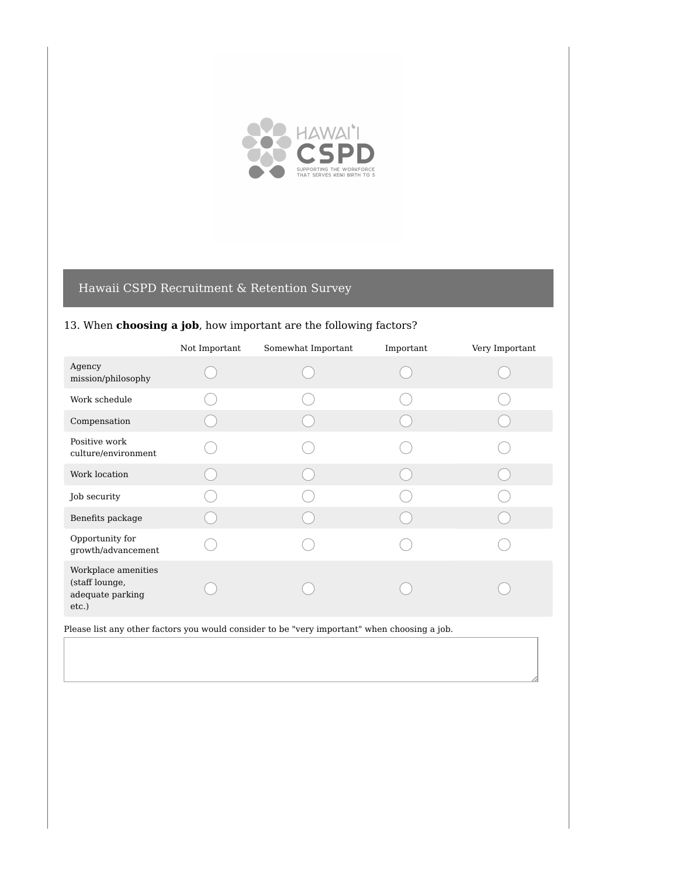

### 13. When **choosing a job**, how important are the following factors?

|                                                                    | Not Important | Somewhat Important | Important | Very Important |
|--------------------------------------------------------------------|---------------|--------------------|-----------|----------------|
| Agency<br>mission/philosophy                                       |               |                    |           |                |
| Work schedule                                                      |               |                    |           |                |
| Compensation                                                       |               |                    |           |                |
| Positive work<br>culture/environment                               |               |                    |           |                |
| Work location                                                      |               |                    |           |                |
| Job security                                                       |               |                    |           |                |
| Benefits package                                                   |               |                    |           |                |
| Opportunity for<br>growth/advancement                              |               |                    |           |                |
| Workplace amenities<br>(staff lounge,<br>adequate parking<br>etc.) |               |                    |           |                |

Please list any other factors you would consider to be "very important" when choosing a job.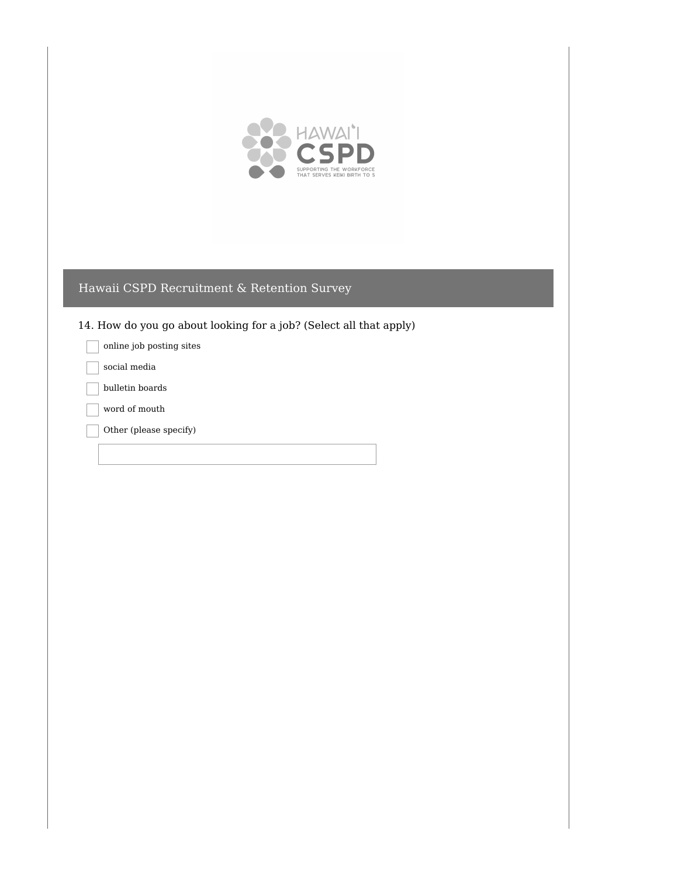

14. How do you go about looking for a job? (Select all that apply)

online job posting sites

social media

bulletin boards

word of mouth

Other (please specify)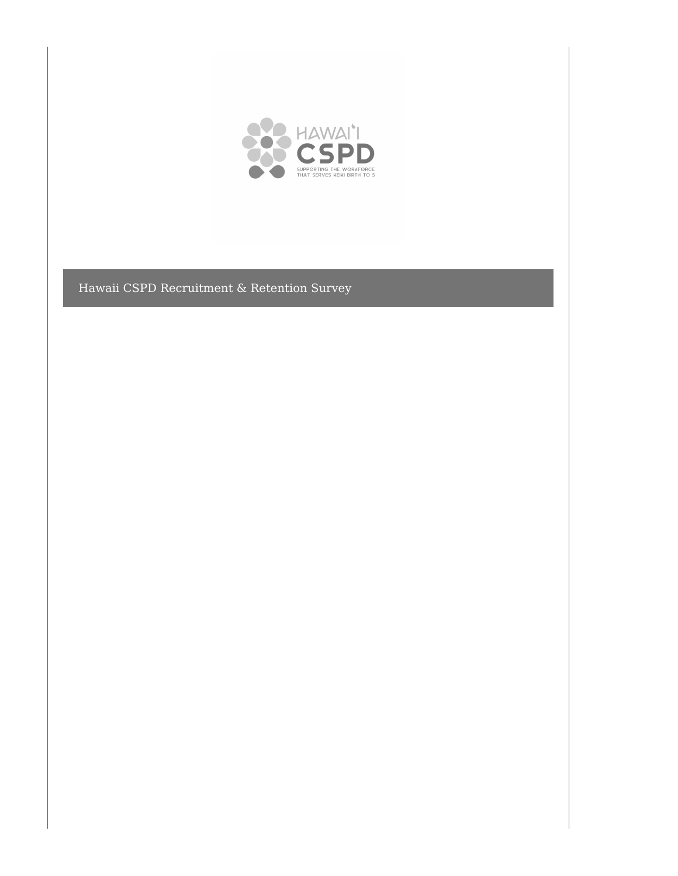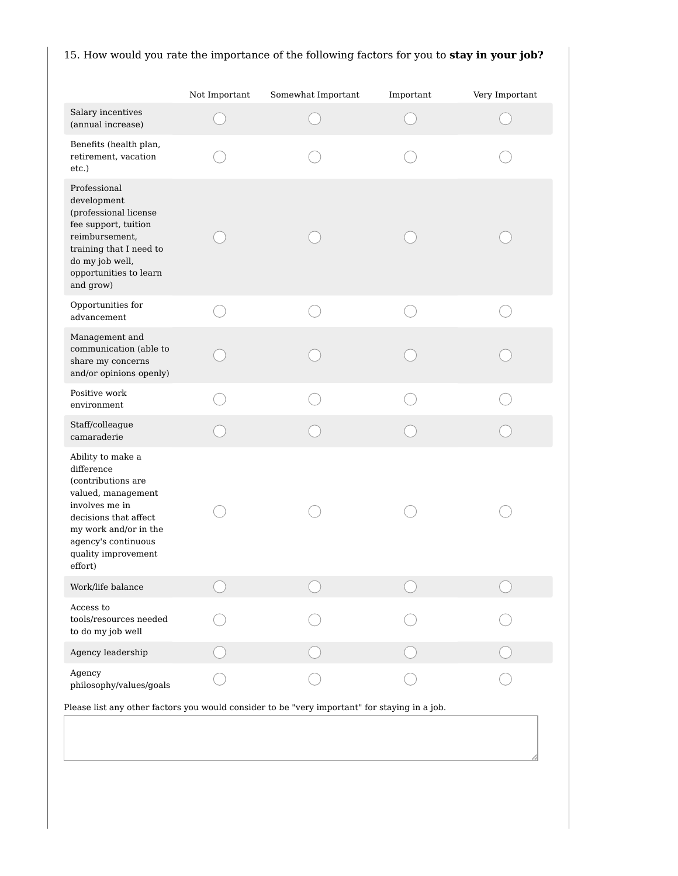# 15. How would you rate the importance of the following factors for you to **stay in your job?**

|                                                                                                                                                                                                          | Not Important | Somewhat Important | Important | Very Important |
|----------------------------------------------------------------------------------------------------------------------------------------------------------------------------------------------------------|---------------|--------------------|-----------|----------------|
| Salary incentives<br>(annual increase)                                                                                                                                                                   |               |                    |           |                |
| Benefits (health plan,<br>retirement, vacation<br>etc.)                                                                                                                                                  |               |                    |           |                |
| Professional<br>development<br>(professional license<br>fee support, tuition<br>reimbursement,<br>training that I need to<br>do my job well,<br>opportunities to learn<br>and grow)                      |               |                    |           |                |
| Opportunities for<br>advancement                                                                                                                                                                         |               |                    |           |                |
| Management and<br>communication (able to<br>share my concerns<br>and/or opinions openly)                                                                                                                 |               |                    |           |                |
| Positive work<br>environment                                                                                                                                                                             |               |                    |           |                |
| Staff/colleague<br>camaraderie                                                                                                                                                                           |               |                    |           |                |
| Ability to make a<br>difference<br>(contributions are<br>valued, management<br>involves me in<br>decisions that affect<br>my work and/or in the<br>agency's continuous<br>quality improvement<br>effort) |               |                    |           |                |
| Work/life balance                                                                                                                                                                                        |               |                    |           |                |
| Access to<br>tools/resources needed<br>to do my job well                                                                                                                                                 |               |                    |           |                |
| Agency leadership                                                                                                                                                                                        |               |                    |           |                |
| Agency<br>philosophy/values/goals                                                                                                                                                                        |               |                    |           |                |
| Please list any other factors you would consider to be "very important" for staying in a job.                                                                                                            |               |                    |           |                |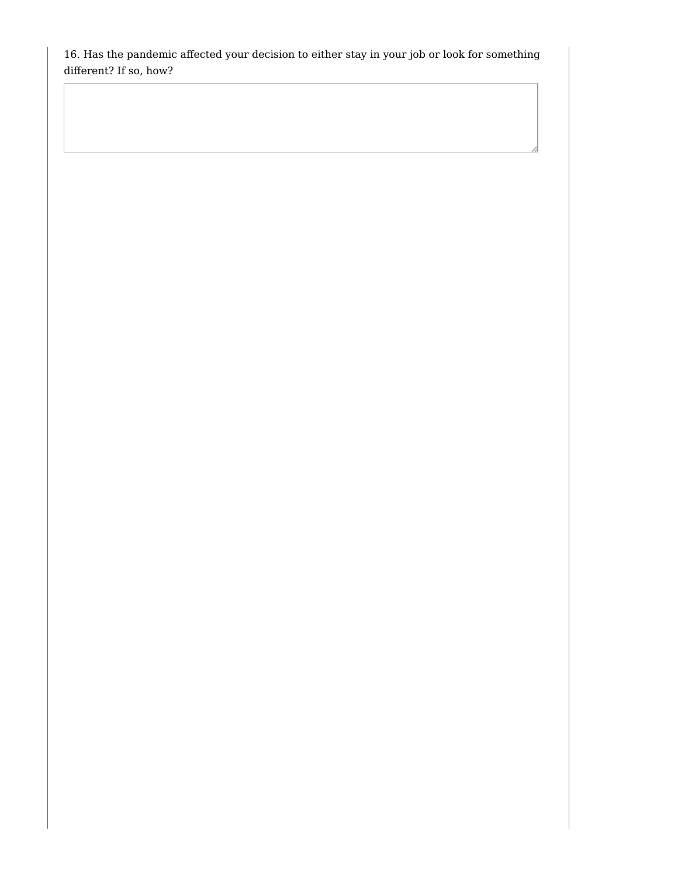16. Has the pandemic affected your decision to either stay in your job or look for something different? If so, how?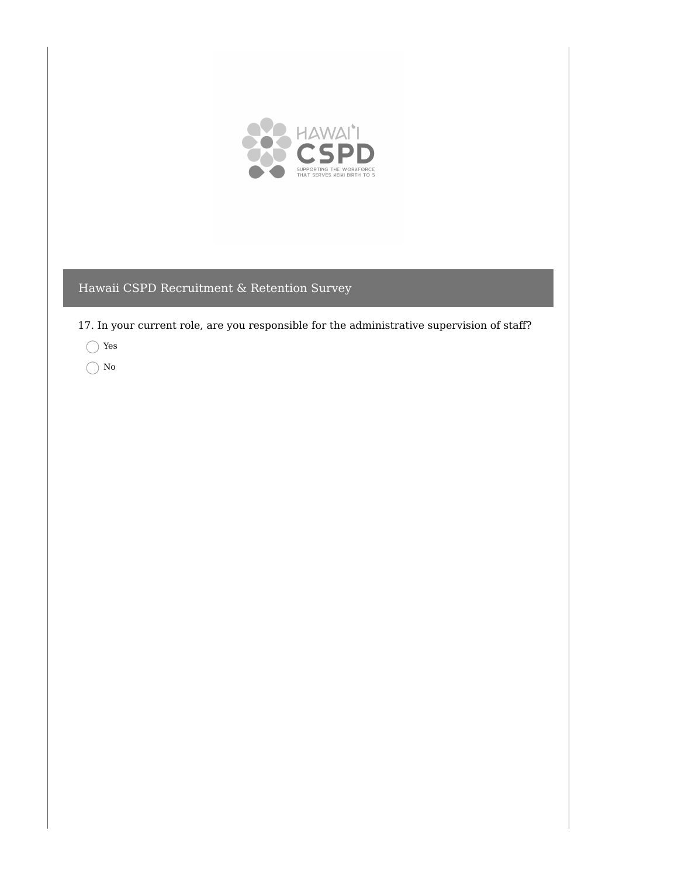

17. In your current role, are you responsible for the administrative supervision of staff?

Yes

 $\bigcap$  No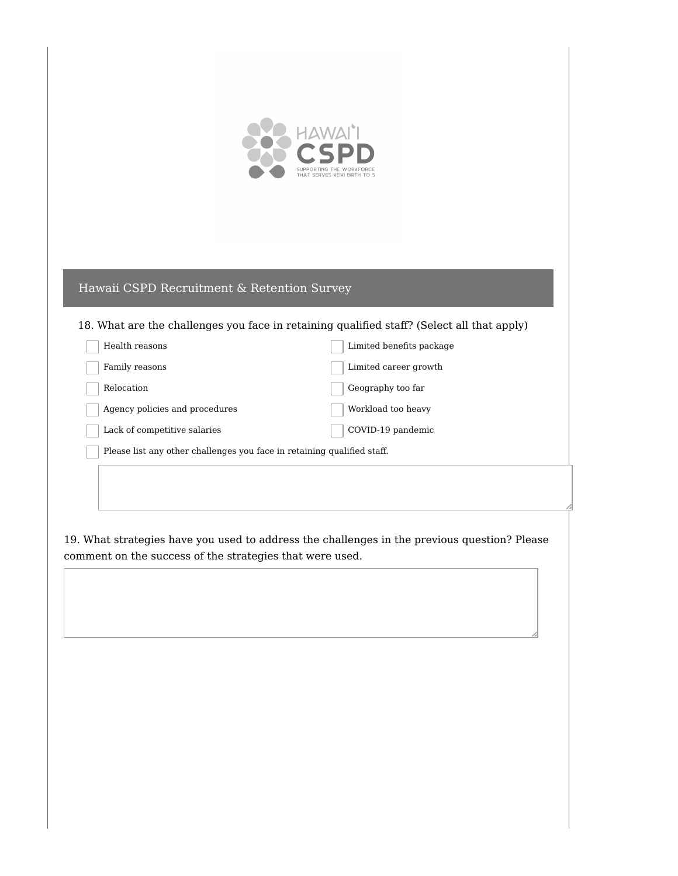

### 18. What are the challenges you face in retaining qualified staff? (Select all that apply)

| Health reasons                                                          | Limited benefits package |
|-------------------------------------------------------------------------|--------------------------|
| Family reasons                                                          | Limited career growth    |
| Relocation                                                              | Geography too far        |
| Agency policies and procedures                                          | Workload too heavy       |
| Lack of competitive salaries                                            | COVID-19 pandemic        |
| Please list any other challenges you face in retaining qualified staff. |                          |

19. What strategies have you used to address the challenges in the previous question? Please comment on the success of the strategies that were used.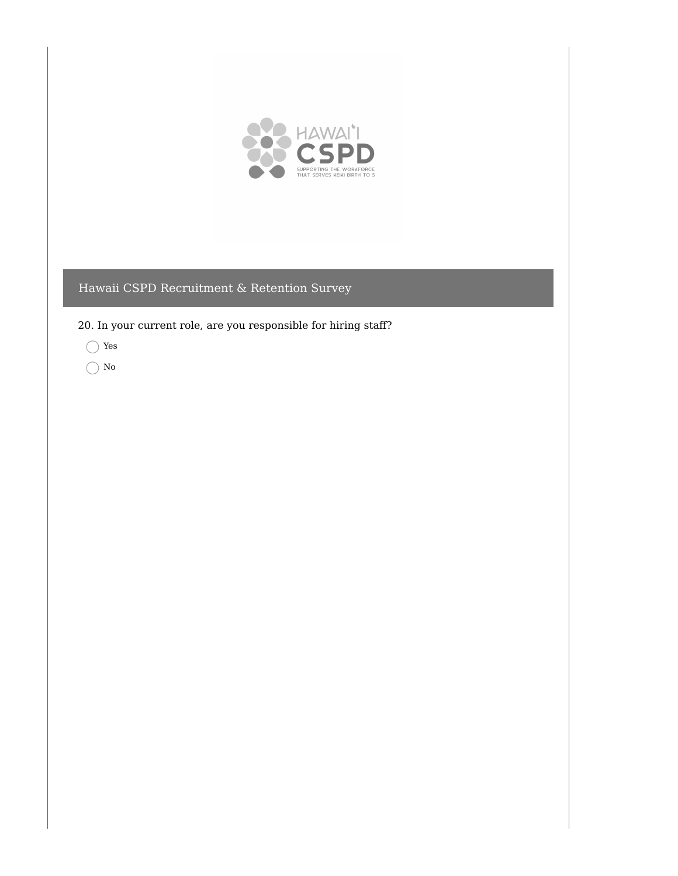

20. In your current role, are you responsible for hiring staff?

Yes

 $\bigcirc$  No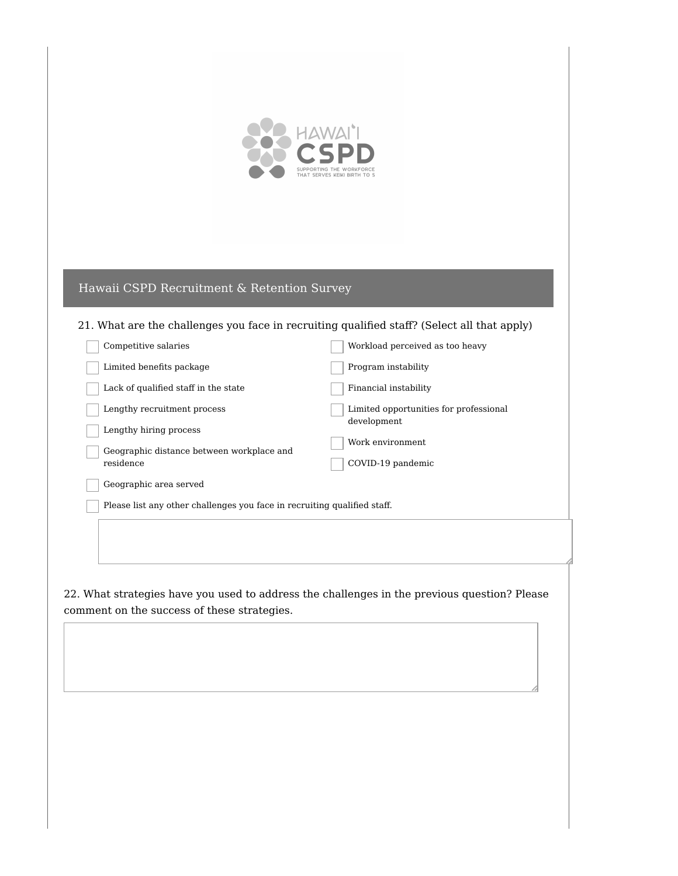

### 21. What are the challenges you face in recruiting qualified staff? (Select all that apply)

| Competitive salaries                                                     | Workload perceived as too heavy        |  |
|--------------------------------------------------------------------------|----------------------------------------|--|
| Limited benefits package                                                 | Program instability                    |  |
| Lack of qualified staff in the state                                     | Financial instability                  |  |
| Lengthy recruitment process                                              | Limited opportunities for professional |  |
| Lengthy hiring process                                                   | development                            |  |
| Geographic distance between workplace and                                | Work environment                       |  |
| residence                                                                | COVID-19 pandemic                      |  |
| Geographic area served                                                   |                                        |  |
| Please list any other challenges you face in recruiting qualified staff. |                                        |  |
|                                                                          |                                        |  |
|                                                                          |                                        |  |
|                                                                          |                                        |  |

22. What strategies have you used to address the challenges in the previous question? Please comment on the success of these strategies.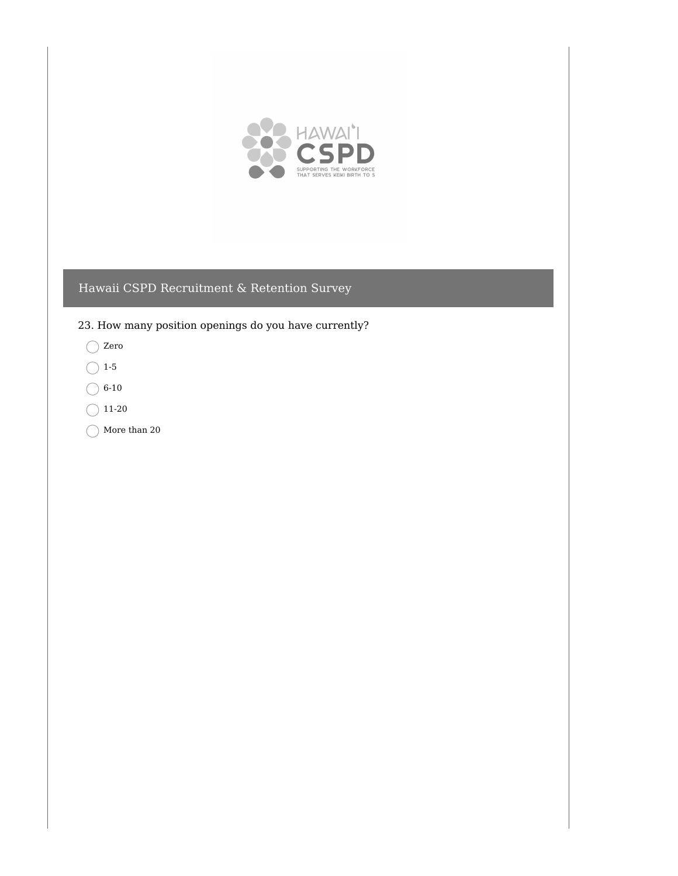

23. How many position openings do you have currently?

- Zero
- $\bigcirc$  1-5
- $\bigcirc$  6-10
- $\bigcirc$  11-20
- $\bigcirc$  More than 20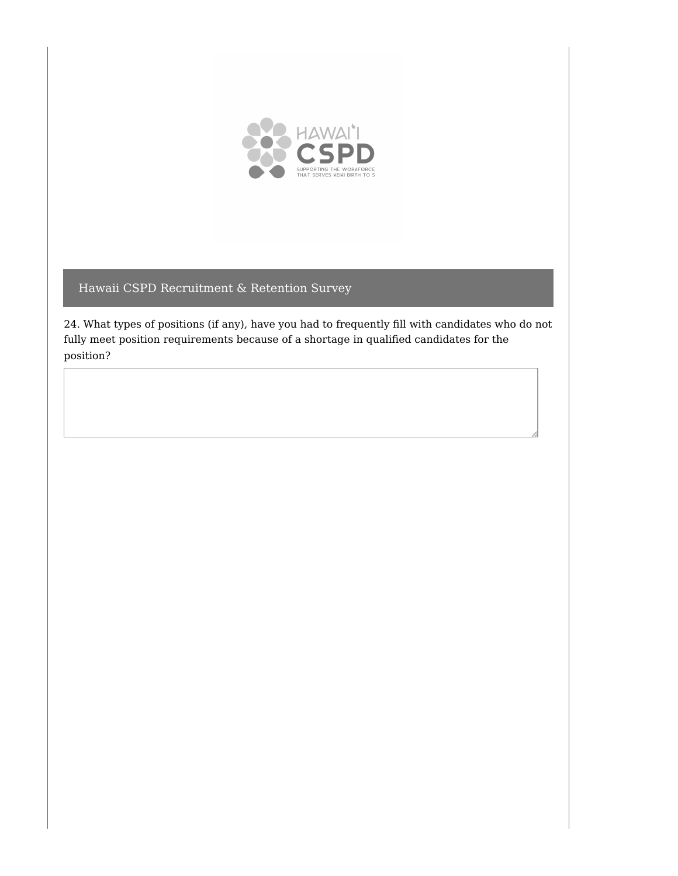

24. What types of positions (if any), have you had to frequently fill with candidates who do not fully meet position requirements because of a shortage in qualified candidates for the position?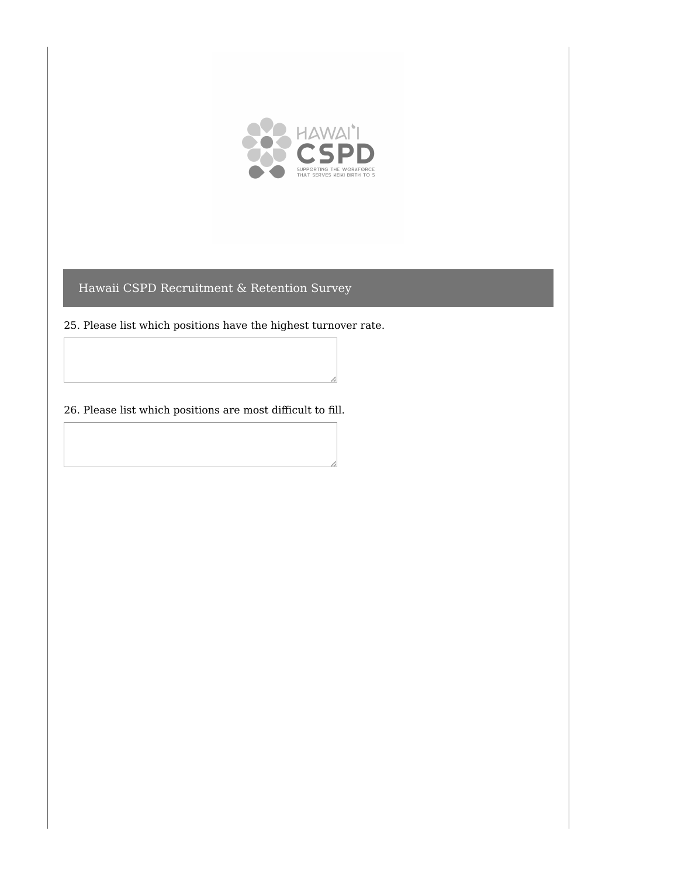

25. Please list which positions have the highest turnover rate.

26. Please list which positions are most difficult to fill.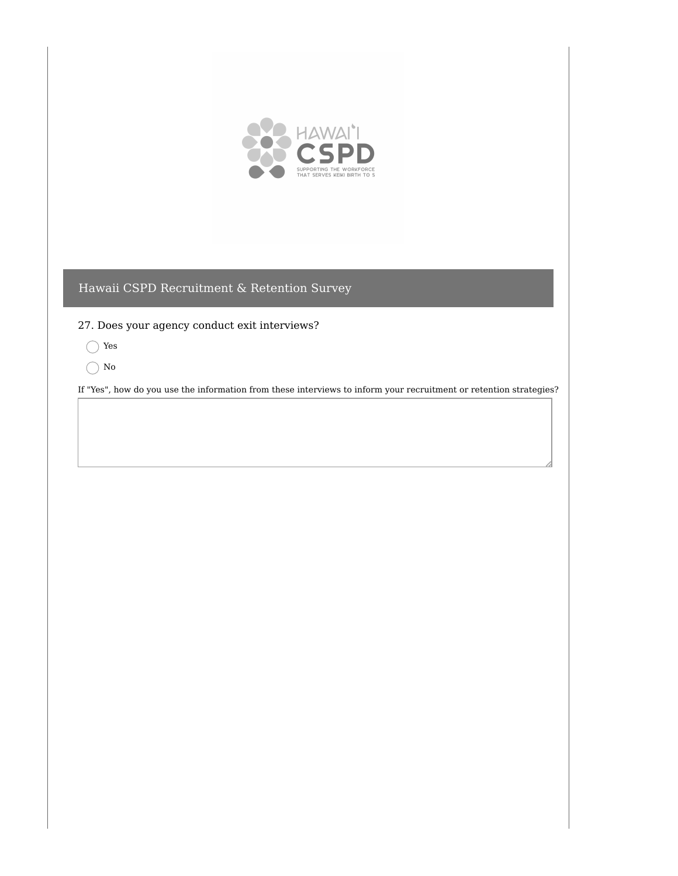

27. Does your agency conduct exit interviews?

- Yes
- $\bigcap$  No

If "Yes", how do you use the information from these interviews to inform your recruitment or retention strategies?